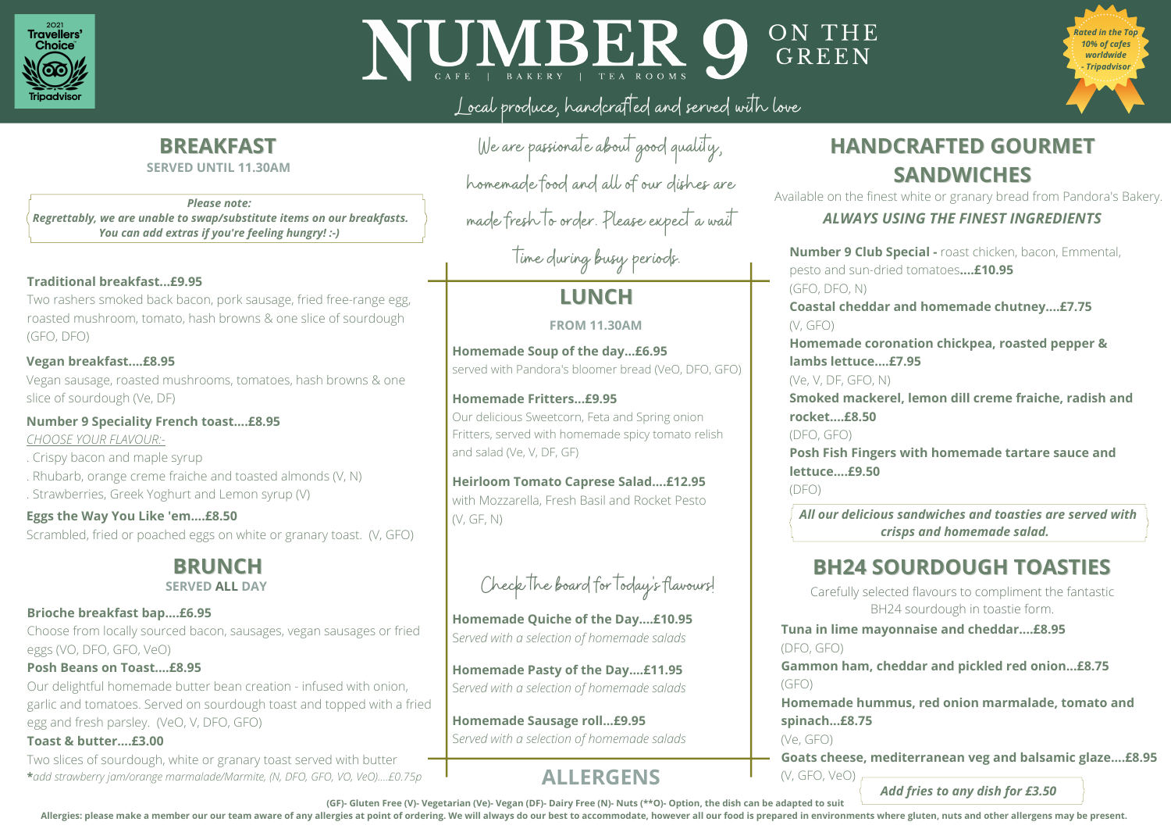**Tuna in lime mayonnaise and cheddar....£8.95** (DFO, GFO)

**Gammon ham, cheddar and pickled red onion...£8.75** (GFO)

**Homemade hummus, red onion marmalade, tomato and spinach...£8.75**

(Ve, GFO)

**Goats cheese, mediterranean veg and balsamic glaze....£8.95** 

## **BH24 SOURDOUGH TOASTIES**

**Number 9 Club Special -** roast chicken, bacon, Emmental, pesto and sun-dried tomatoes**....£10.95** (GFO, DFO, N) **Coastal cheddar and homemade chutney....£7.75** (V, GFO) **Homemade coronation chickpea, roasted pepper & lambs lettuce....£7.95** (Ve, V, DF, GFO, N) **Smoked mackerel, lemon dill creme fraiche, radish and rocket....£8.50** (DFO, GFO) **Posh Fish Fingers with homemade tartare sauce and lettuce....£9.50** (DFO)

(V, GFO, VeO) *Add fries to any dish for £3.50*

*All our delicious sandwiches and toasties are served with crisps and homemade salad.* 

## **Homemade Soup of the day...£6.95** served with Pandora's bloomer bread (VeO, DFO, GFO)

## **Homemade Fritters...£9.95**

Our delicious Sweetcorn, Feta and Spring onion Fritters, served with homemade spicy tomato relish and salad (Ve, V, DF, GF)

## **Heirloom Tomato Caprese Salad....£12.95**

with Mozzarella, Fresh Basil and Rocket Pesto (V, GF, N)

## **LUNCH**

**Homemade Quiche of the Day....£10.95** S*erved with a selection of homemade salads*

**Homemade Pasty of the Day....£11.95** S*erved with a selection of homemade salads*

**SERVED ALL DAY** Check Ine board for locays flavours! Carefully selected flavours to compliment the fantastic BH24 sourdough in toastie form.

Check The board for Today! s flavours!

**Homemade Sausage roll...£9.95** S*erved with a selection of homemade salads* **HANDCRAFTED GOURMET SANDWICHES**





## Local produce, handcrafted and served with love

Available on the finest white or granary bread from Pandora's Bakery.

### **Vegan breakfast....£8.95**

Vegan sausage, roasted mushrooms, tomatoes, hash browns & one slice of sourdough (Ve, DF)

### **Number 9 Speciality French toast....£8.95**

*CHOOSE YOUR FLAVOUR:-*

- . Crispy bacon and maple syrup
- . Rhubarb, orange creme fraiche and toasted almonds (V, N)
- . Strawberries, Greek Yoghurt and Lemon syrup (V)

### **Brioche breakfast bap....£6.95**

Choose from locally sourced bacon, sausages, vegan sausages or fried eggs (VO, DFO, GFO, VeO)

### **Eggs the Way You Like 'em....£8.50**

Scrambled, fried or poached eggs on white or granary toast. (V, GFO)

### **Posh Beans on Toast....£8.95**

Our delightful homemade butter bean creation - infused with onion, garlic and tomatoes. Served on sourdough toast and topped with a fried egg and fresh parsley. (VeO, V, DFO, GFO)

### **Traditional breakfast...£9.95**

Two rashers smoked back bacon, pork sausage, fried free-range egg, roasted mushroom, tomato, hash browns & one slice of sourdough (GFO, DFO)

### **Toast & butter....£3.00**

Two slices of sourdough, white or granary toast served with butter **\****add strawberry jam/orange marmalade/Marmite, (N, DFO, GFO, VO, VeO)....£0.75p*

## **BREAKFAST**

# **BRUNCH**

We are passionate about good quality, homemade food and all of our dishes are

made fresh to order. Please expect a wait

time during busy periods.

### **SERVED UNTIL 11.30AM**

## **ALLERGENS**

(GF)- Gluten Free (V)- Vegetarian (Ve)- Vegan (DF)- Dairy Free (N)- Nuts (\*\*O)- Option, the dish can be adapted to suit Allergies: please make a member our our team aware of any allergies at point of ordering. We will always do our best to accommodate, however all our food is prepared in environments where gluten, nuts and other allergens m

ON THE GREEN

**FROM 11.30AM**

*Please note: Regrettably, we are unable to swap/substitute items on our breakfasts. You can add extras if you're feeling hungry! :-)*

*ALWAYS USING THE FINEST INGREDIENTS*